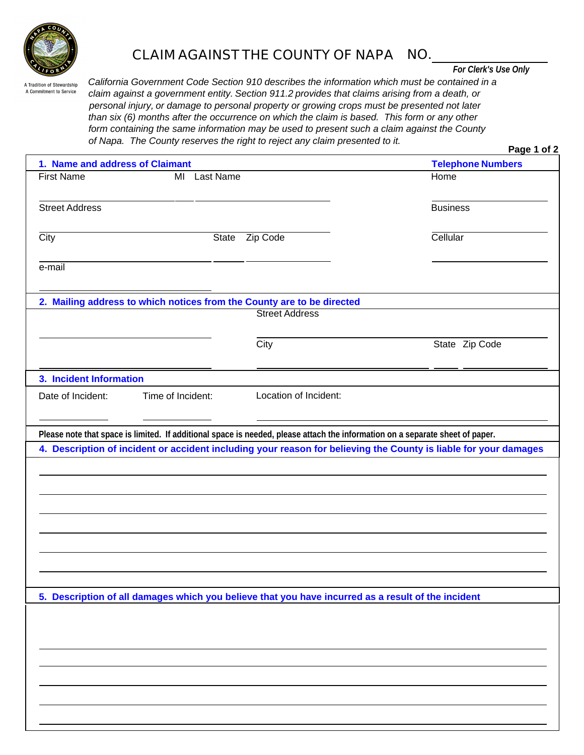

## **CLAIM AGAINST THE COUNTY OF NAPA NO.**

*For Clerk's Use Only*

A Tradition of Stewardship A Commitment to Service

*California Government Code Section 910 describes the information which must be contained in a claim against a government entity. Section 911.2 provides that claims arising from a death, or personal injury, or damage to personal property or growing crops must be presented not later than six (6) months after the occurrence on which the claim is based. This form or any other form containing the same information may be used to present such a claim against the County of Napa. The County reserves the right to reject any claim presented to it.*

| 1. Name and address of Claimant |                                                                                                    | <b>Telephone Numbers</b>                                                                                                                                                                                                                          |
|---------------------------------|----------------------------------------------------------------------------------------------------|---------------------------------------------------------------------------------------------------------------------------------------------------------------------------------------------------------------------------------------------------|
| <b>First Name</b>               | MI Last Name                                                                                       | Home                                                                                                                                                                                                                                              |
| <b>Street Address</b>           |                                                                                                    | <b>Business</b>                                                                                                                                                                                                                                   |
| City                            | Zip Code<br>State                                                                                  | Cellular                                                                                                                                                                                                                                          |
| e-mail                          |                                                                                                    |                                                                                                                                                                                                                                                   |
|                                 | 2. Mailing address to which notices from the County are to be directed                             |                                                                                                                                                                                                                                                   |
|                                 | <b>Street Address</b>                                                                              |                                                                                                                                                                                                                                                   |
|                                 | City                                                                                               | State Zip Code                                                                                                                                                                                                                                    |
| 3. Incident Information         |                                                                                                    |                                                                                                                                                                                                                                                   |
|                                 |                                                                                                    |                                                                                                                                                                                                                                                   |
|                                 | Location of Incident:<br>Time of Incident:                                                         | Please note that space is limited. If additional space is needed, please attach the information on a separate sheet of paper.<br>4. Description of incident or accident including your reason for believing the County is liable for your damages |
|                                 |                                                                                                    |                                                                                                                                                                                                                                                   |
|                                 |                                                                                                    |                                                                                                                                                                                                                                                   |
| Date of Incident:               |                                                                                                    |                                                                                                                                                                                                                                                   |
|                                 |                                                                                                    |                                                                                                                                                                                                                                                   |
|                                 | 5. Description of all damages which you believe that you have incurred as a result of the incident |                                                                                                                                                                                                                                                   |
|                                 |                                                                                                    |                                                                                                                                                                                                                                                   |
|                                 |                                                                                                    |                                                                                                                                                                                                                                                   |
|                                 |                                                                                                    |                                                                                                                                                                                                                                                   |
|                                 |                                                                                                    |                                                                                                                                                                                                                                                   |